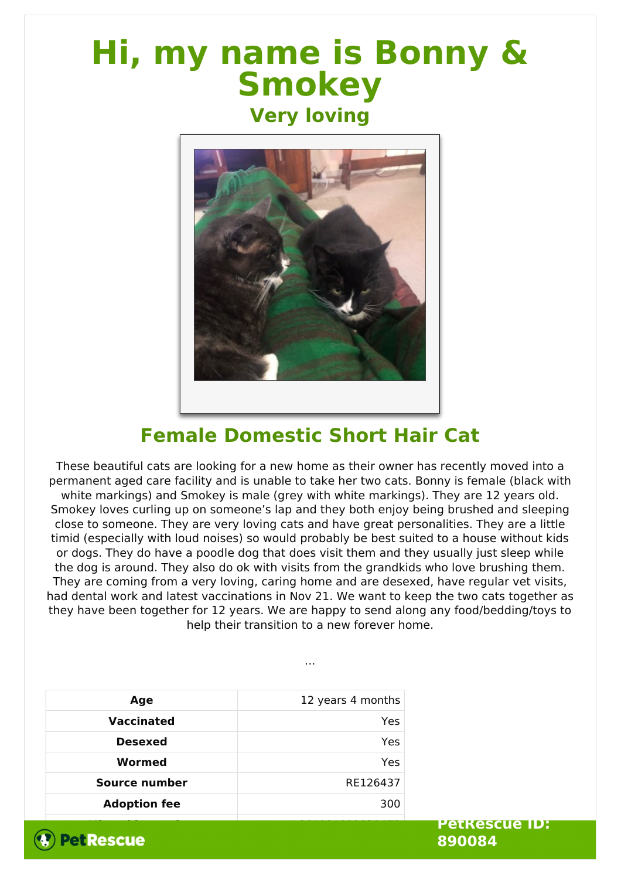## **Hi, my name is Bonny & Smokey**

## **Very loving**



## **Female Domestic Short Hair Cat**

These beautiful cats are looking for a new home as their owner has recently moved into a permanent aged care facility and is unable to take her two cats. Bonny is female (black with white markings) and Smokey is male (grey with white markings). They are 12 years old. Smokey loves curling up on someone's lap and they both enjoy being brushed and sleeping close to someone. They are very loving cats and have great personalities. They are a little timid (especially with loud noises) so would probably be best suited to a house without kids or dogs. They do have a poodle dog that does visit them and they usually just sleep while the dog is around. They also do ok with visits from the grandkids who love brushing them. They are coming from a very loving, caring home and are desexed, have regular vet visits, had dental work and latest vaccinations in Nov 21. We want to keep the two cats together as they have been together for 12 years. We are happy to send along any food/bedding/toys to help their transition to a new forever home.

...

| Age                 | 12 years 4 months |
|---------------------|-------------------|
| <b>Vaccinated</b>   | Yes               |
| <b>Desexed</b>      | Yes               |
| Wormed              | Yes               |
| Source number       | RE126437          |
| <b>Adoption fee</b> | 300               |
|                     |                   |



**PetRescue ID: 890084**